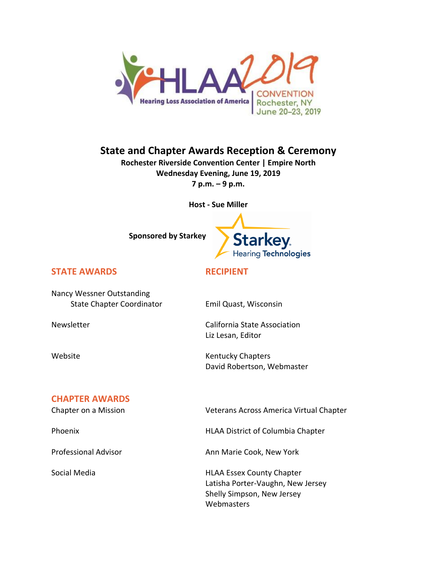

# **State and Chapter Awards Reception & Ceremony**

**Rochester Riverside Convention Center | Empire North Wednesday Evening, June 19, 2019 7 p.m. – 9 p.m.**

**Host - Sue Miller**



### **STATE AWARDS RECIPIENT**

Nancy Wessner Outstanding State Chapter Coordinator Emil Quast, Wisconsin

Newsletter **Newsletter** California State Association Liz Lesan, Editor

Website **Kentucky Chapters** David Robertson, Webmaster

#### **CHAPTER AWARDS**

Chapter on a Mission Veterans Across America Virtual Chapter

Phoenix **HLAA District of Columbia Chapter** 

Professional Advisor **Ann Marie Cook, New York** 

Social Media **HLAA Essex County Chapter** Latisha Porter-Vaughn, New Jersey Shelly Simpson, New Jersey **Webmasters**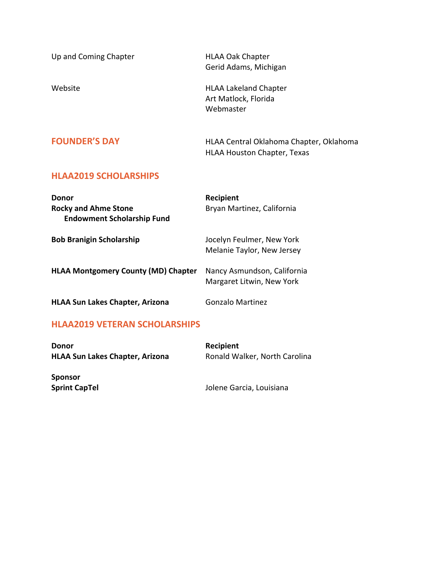Up and Coming Chapter **HLAA Oak Chapter** Gerid Adams, Michigan Website **Manufalson** HLAA Lakeland Chapter Art Matlock, Florida Webmaster **FOUNDER'S DAY HLAA Central Oklahoma Chapter, Oklahoma** HLAA Houston Chapter, Texas **HLAA2019 SCHOLARSHIPS Donor Recipient Rocky and Ahme Stone Bryan Martinez, California Endowment Scholarship Fund Bob Branigin Scholarship** Jocelyn Feulmer, New York Melanie Taylor, New Jersey

| Donor<br><b>Rocky and Ahme Stone</b><br><b>Endowment Scholarship Fund</b> | <b>Recipient</b><br>Bryan Martinez, California           |
|---------------------------------------------------------------------------|----------------------------------------------------------|
| <b>Bob Branigin Scholarship</b>                                           | Jocelyn Feulmer, New York<br>Melanie Taylor, New Jersey  |
| <b>HLAA Montgomery County (MD) Chapter</b>                                | Nancy Asmundson, California<br>Margaret Litwin, New York |
| <b>HLAA Sun Lakes Chapter, Arizona</b>                                    | Gonzalo Martinez                                         |

#### **HLAA2019 VETERAN SCHOLARSHIPS**

| <b>Donor</b>                           | Recipient                     |
|----------------------------------------|-------------------------------|
| <b>HLAA Sun Lakes Chapter, Arizona</b> | Ronald Walker, North Carolina |
| <b>Sponsor</b><br><b>Sprint CapTel</b> | Jolene Garcia, Louisiana      |